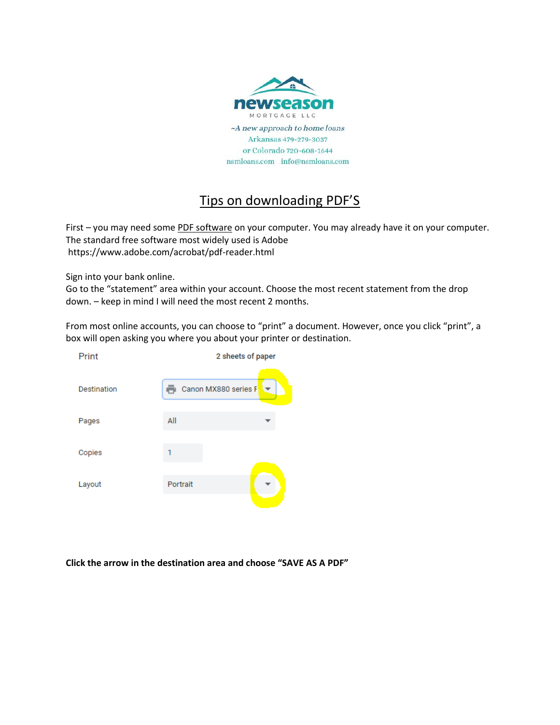

## Tips on downloading PDF'S

First – you may need some PDF software on your computer. You may already have it on your computer. The standard free software most widely used is Adobe https://www.adobe.com/acrobat/pdf-reader.html

Sign into your bank online.

Go to the "statement" area within your account. Choose the most recent statement from the drop down. – keep in mind I will need the most recent 2 months.

From most online accounts, you can choose to "print" a document. However, once you click "print", a box will open asking you where you about your printer or destination.

| Print       | 2 sheets of paper    |  |
|-------------|----------------------|--|
|             |                      |  |
| Destination | Canon MX880 series F |  |
|             | All                  |  |
| Pages       |                      |  |
| Copies      |                      |  |
|             |                      |  |
| Layout      | Portrait             |  |
|             |                      |  |

**Click the arrow in the destination area and choose "SAVE AS A PDF"**